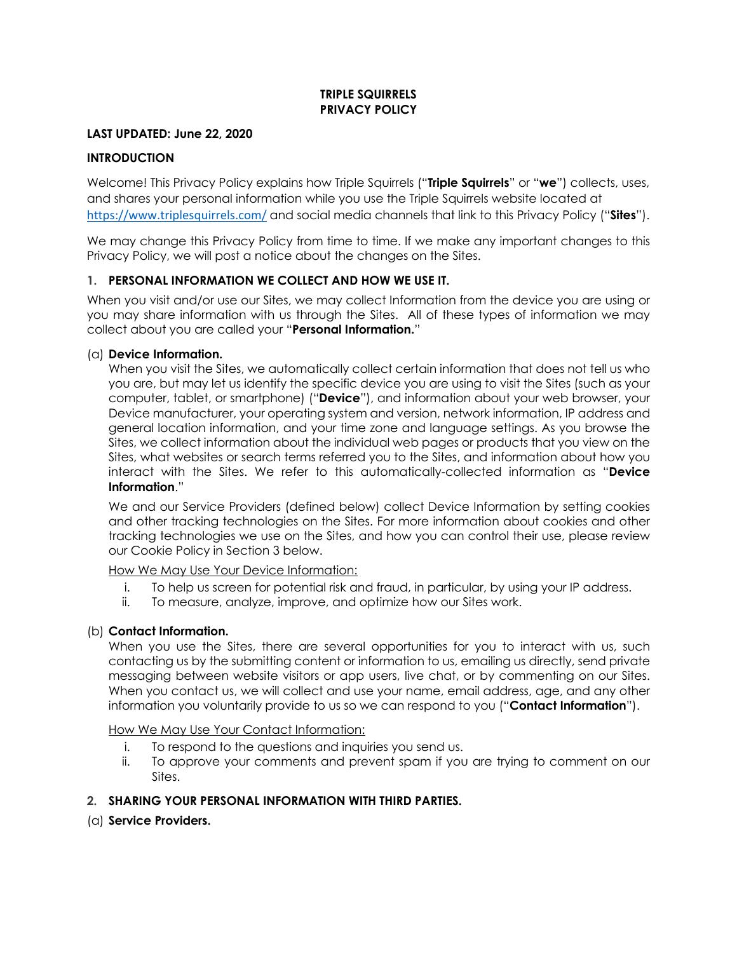## **TRIPLE SQUIRRELS PRIVACY POLICY**

### **LAST UPDATED: June 22, 2020**

# **INTRODUCTION**

Welcome! This Privacy Policy explains how Triple Squirrels ("**Triple Squirrels**" or "**we**") collects, uses, and shares your personal information while you use the Triple Squirrels website located at https://www.triplesquirrels.com/ and social media channels that link to this Privacy Policy ("**Sites**").

We may change this Privacy Policy from time to time. If we make any important changes to this Privacy Policy, we will post a notice about the changes on the Sites.

## **1. PERSONAL INFORMATION WE COLLECT AND HOW WE USE IT.**

When you visit and/or use our Sites, we may collect Information from the device you are using or you may share information with us through the Sites. All of these types of information we may collect about you are called your "**Personal Information.**"

### (a) **Device Information.**

When you visit the Sites, we automatically collect certain information that does not tell us who you are, but may let us identify the specific device you are using to visit the Sites (such as your computer, tablet, or smartphone) ("**Device**"), and information about your web browser, your Device manufacturer, your operating system and version, network information, IP address and general location information, and your time zone and language settings. As you browse the Sites, we collect information about the individual web pages or products that you view on the Sites, what websites or search terms referred you to the Sites, and information about how you interact with the Sites. We refer to this automatically-collected information as "**Device Information**."

We and our Service Providers (defined below) collect Device Information by setting cookies and other tracking technologies on the Sites. For more information about cookies and other tracking technologies we use on the Sites, and how you can control their use, please review our Cookie Policy in Section 3 below.

How We May Use Your Device Information:

- i. To help us screen for potential risk and fraud, in particular, by using your IP address.
- ii. To measure, analyze, improve, and optimize how our Sites work.

### (b) **Contact Information.**

When you use the Sites, there are several opportunities for you to interact with us, such contacting us by the submitting content or information to us, emailing us directly, send private messaging between website visitors or app users, live chat, or by commenting on our Sites. When you contact us, we will collect and use your name, email address, age, and any other information you voluntarily provide to us so we can respond to you ("**Contact Information**").

How We May Use Your Contact Information:

- i. To respond to the questions and inquiries you send us.
- ii. To approve your comments and prevent spam if you are trying to comment on our Sites.

### **2. SHARING YOUR PERSONAL INFORMATION WITH THIRD PARTIES.**

(a) **Service Providers.**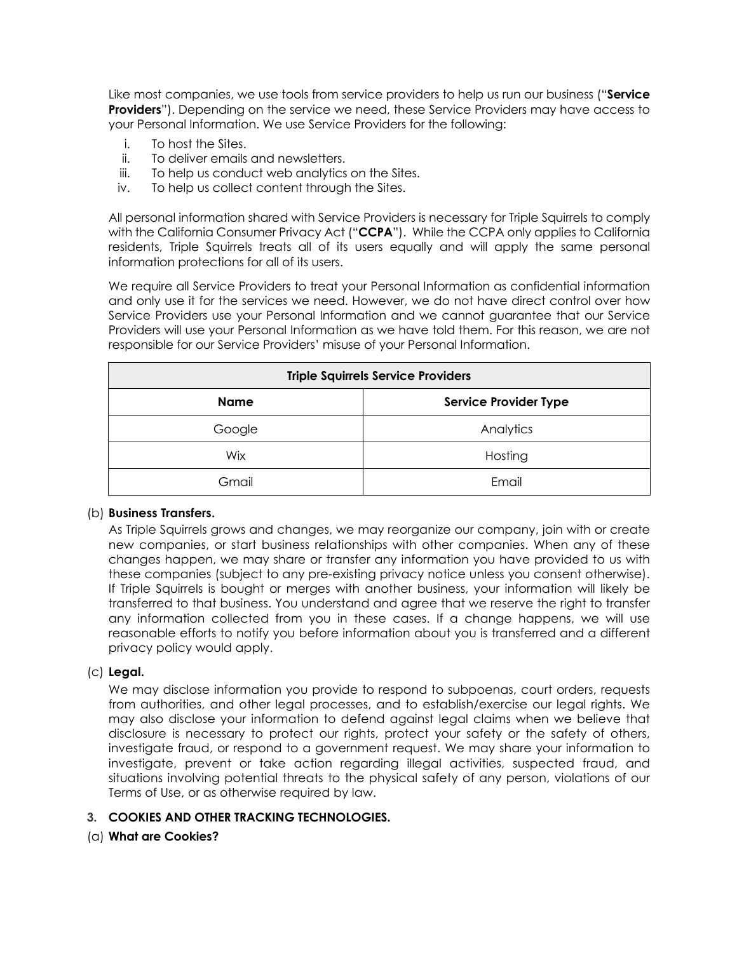Like most companies, we use tools from service providers to help us run our business ("**Service Providers**"). Depending on the service we need, these Service Providers may have access to your Personal Information. We use Service Providers for the following:

- i. To host the Sites.
- ii. To deliver emails and newsletters.
- iii. To help us conduct web analytics on the Sites.
- iv. To help us collect content through the Sites.

All personal information shared with Service Providers is necessary for Triple Squirrels to comply with the California Consumer Privacy Act ("**CCPA**"). While the CCPA only applies to California residents, Triple Squirrels treats all of its users equally and will apply the same personal information protections for all of its users.

We require all Service Providers to treat your Personal Information as confidential information and only use it for the services we need. However, we do not have direct control over how Service Providers use your Personal Information and we cannot guarantee that our Service Providers will use your Personal Information as we have told them. For this reason, we are not responsible for our Service Providers' misuse of your Personal Information.

| <b>Triple Squirrels Service Providers</b> |                              |
|-------------------------------------------|------------------------------|
| <b>Name</b>                               | <b>Service Provider Type</b> |
| Google                                    | Analytics                    |
| Wix                                       | Hosting                      |
| Gmail                                     | Email                        |

### (b) **Business Transfers.**

As Triple Squirrels grows and changes, we may reorganize our company, join with or create new companies, or start business relationships with other companies. When any of these changes happen, we may share or transfer any information you have provided to us with these companies (subject to any pre-existing privacy notice unless you consent otherwise). If Triple Squirrels is bought or merges with another business, your information will likely be transferred to that business. You understand and agree that we reserve the right to transfer any information collected from you in these cases. If a change happens, we will use reasonable efforts to notify you before information about you is transferred and a different privacy policy would apply.

### (c) **Legal.**

We may disclose information you provide to respond to subpoenas, court orders, requests from authorities, and other legal processes, and to establish/exercise our legal rights. We may also disclose your information to defend against legal claims when we believe that disclosure is necessary to protect our rights, protect your safety or the safety of others, investigate fraud, or respond to a government request. We may share your information to investigate, prevent or take action regarding illegal activities, suspected fraud, and situations involving potential threats to the physical safety of any person, violations of our Terms of Use, or as otherwise required by law.

# **3. COOKIES AND OTHER TRACKING TECHNOLOGIES.**

### (a) **What are Cookies?**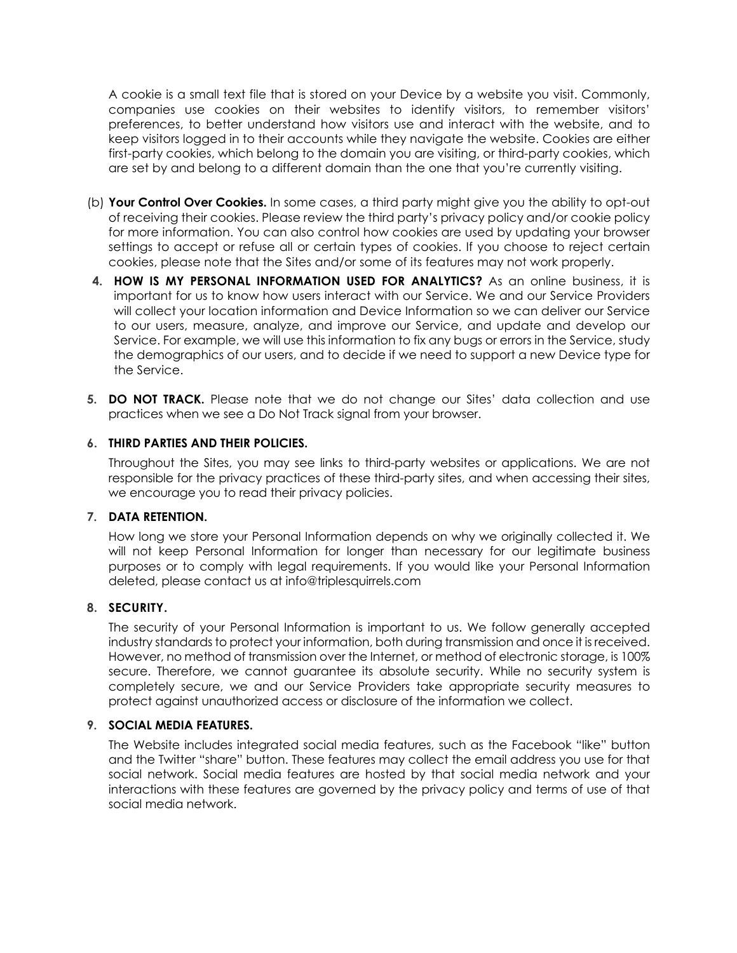A cookie is a small text file that is stored on your Device by a website you visit. Commonly, companies use cookies on their websites to identify visitors, to remember visitors' preferences, to better understand how visitors use and interact with the website, and to keep visitors logged in to their accounts while they navigate the website. Cookies are either first-party cookies, which belong to the domain you are visiting, or third-party cookies, which are set by and belong to a different domain than the one that you're currently visiting.

- (b) **Your Control Over Cookies.** In some cases, a third party might give you the ability to opt-out of receiving their cookies. Please review the third party's privacy policy and/or cookie policy for more information. You can also control how cookies are used by updating your browser settings to accept or refuse all or certain types of cookies. If you choose to reject certain cookies, please note that the Sites and/or some of its features may not work properly.
- **4. HOW IS MY PERSONAL INFORMATION USED FOR ANALYTICS?** As an online business, it is important for us to know how users interact with our Service. We and our Service Providers will collect your location information and Device Information so we can deliver our Service to our users, measure, analyze, and improve our Service, and update and develop our Service. For example, we will use this information to fix any bugs or errors in the Service, study the demographics of our users, and to decide if we need to support a new Device type for the Service.
- **5. DO NOT TRACK.** Please note that we do not change our Sites' data collection and use practices when we see a Do Not Track signal from your browser.

## **6. THIRD PARTIES AND THEIR POLICIES.**

Throughout the Sites, you may see links to third-party websites or applications. We are not responsible for the privacy practices of these third-party sites, and when accessing their sites, we encourage you to read their privacy policies.

### **7. DATA RETENTION.**

How long we store your Personal Information depends on why we originally collected it. We will not keep Personal Information for longer than necessary for our legitimate business purposes or to comply with legal requirements. If you would like your Personal Information deleted, please contact us at info@triplesquirrels.com

### **8. SECURITY.**

The security of your Personal Information is important to us. We follow generally accepted industry standards to protect your information, both during transmission and once it is received. However, no method of transmission over the Internet, or method of electronic storage, is 100% secure. Therefore, we cannot guarantee its absolute security. While no security system is completely secure, we and our Service Providers take appropriate security measures to protect against unauthorized access or disclosure of the information we collect.

### **9. SOCIAL MEDIA FEATURES.**

The Website includes integrated social media features, such as the Facebook "like" button and the Twitter "share" button. These features may collect the email address you use for that social network. Social media features are hosted by that social media network and your interactions with these features are governed by the privacy policy and terms of use of that social media network.